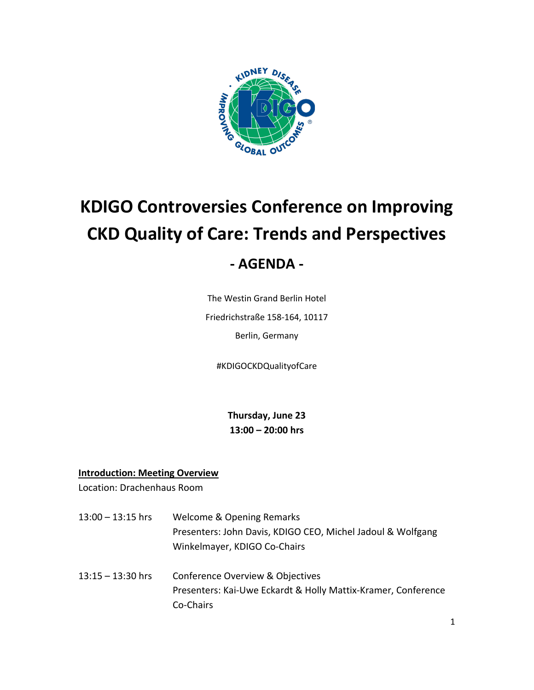

# **KDIGO Controversies Conference on Improving CKD Quality of Care: Trends and Perspectives - AGENDA -**

The Westin Grand Berlin Hotel

Friedrichstraße 158-164, 10117

Berlin, Germany

#KDIGOCKDQualityofCare

**Thursday, June 23 13:00 – 20:00 hrs**

#### **Introduction: Meeting Overview**

Location: Drachenhaus Room

- 13:00 13:15 hrs Welcome & Opening Remarks Presenters: John Davis, KDIGO CEO, Michel Jadoul & Wolfgang Winkelmayer, KDIGO Co-Chairs
- 13:15 13:30 hrs Conference Overview & Objectives Presenters: Kai-Uwe Eckardt & Holly Mattix-Kramer, Conference Co-Chairs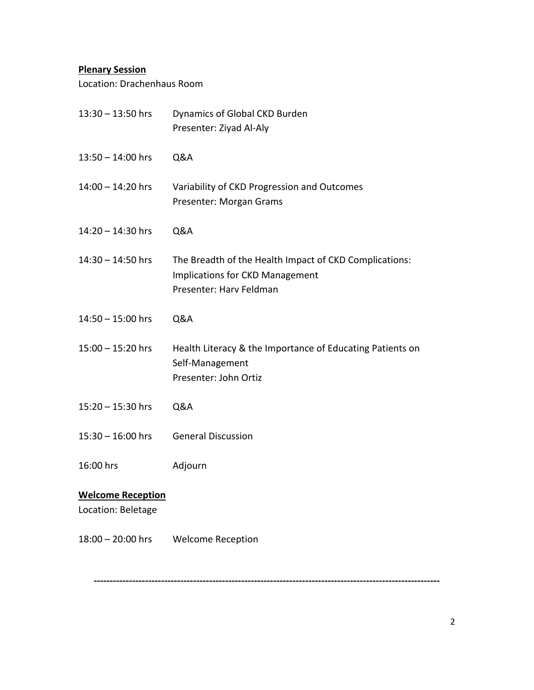# **Plenary Session**

Location: Drachenhaus Room

| $13:30 - 13:50$ hrs                            | Dynamics of Global CKD Burden<br>Presenter: Ziyad Al-Aly                                                                    |
|------------------------------------------------|-----------------------------------------------------------------------------------------------------------------------------|
| $13:50 - 14:00$ hrs                            | Q&A                                                                                                                         |
| $14:00 - 14:20$ hrs                            | Variability of CKD Progression and Outcomes<br>Presenter: Morgan Grams                                                      |
| $14:20 - 14:30$ hrs                            | Q&A                                                                                                                         |
| $14:30 - 14:50$ hrs                            | The Breadth of the Health Impact of CKD Complications:<br><b>Implications for CKD Management</b><br>Presenter: Harv Feldman |
| 14:50 - 15:00 hrs                              | Q&A                                                                                                                         |
| $15:00 - 15:20$ hrs                            | Health Literacy & the Importance of Educating Patients on<br>Self-Management<br>Presenter: John Ortiz                       |
| $15:20 - 15:30$ hrs                            | Q&A                                                                                                                         |
| $15:30 - 16:00$ hrs                            | <b>General Discussion</b>                                                                                                   |
| 16:00 hrs                                      | Adjourn                                                                                                                     |
| <b>Welcome Reception</b><br>Location: Beletage |                                                                                                                             |
| $18:00 - 20:00$ hrs                            | <b>Welcome Reception</b>                                                                                                    |

**------------------------------------------------------------------------------------------------------------**

2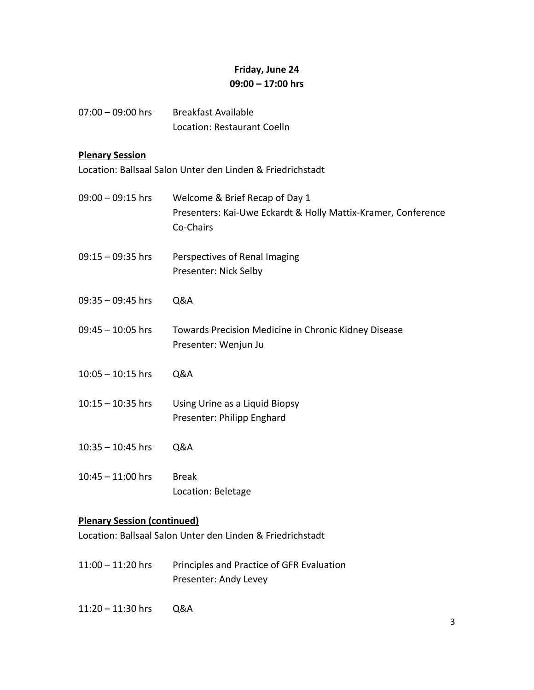# **Friday, June 24 09:00 – 17:00 hrs**

| 07:00 — 09:00 hrs | <b>Breakfast Available</b>  |
|-------------------|-----------------------------|
|                   | Location: Restaurant Coelln |

## **Plenary Session**

Location: Ballsaal Salon Unter den Linden & Friedrichstadt

- 09:00 09:15 hrs Welcome & Brief Recap of Day 1 Presenters: Kai-Uwe Eckardt & Holly Mattix-Kramer, Conference Co-Chairs
- 09:15 09:35 hrs Perspectives of Renal Imaging Presenter: Nick Selby
- 09:35 09:45 hrs Q&A
- 09:45 10:05 hrs Towards Precision Medicine in Chronic Kidney Disease Presenter: Wenjun Ju
- 10:05 10:15 hrs Q&A
- 10:15 10:35 hrs Using Urine as a Liquid Biopsy Presenter: Philipp Enghard
- 10:35 10:45 hrs Q&A
- 10:45 11:00 hrs Break Location: Beletage

## **Plenary Session (continued)**

Location: Ballsaal Salon Unter den Linden & Friedrichstadt

- 11:00 11:20 hrs Principles and Practice of GFR Evaluation Presenter: Andy Levey
- 11:20 11:30 hrs Q&A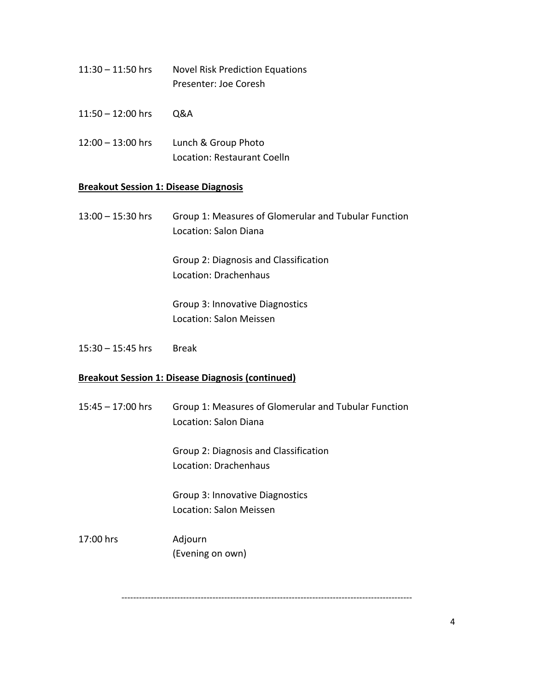- 11:30 11:50 hrs Novel Risk Prediction Equations Presenter: Joe Coresh
- 11:50 12:00 hrs Q&A
- 12:00 13:00 hrs Lunch & Group Photo Location: Restaurant Coelln

### **Breakout Session 1: Disease Diagnosis**

13:00 – 15:30 hrs Group 1: Measures of Glomerular and Tubular Function Location: Salon Diana

> Group 2: Diagnosis and Classification Location: Drachenhaus

Group 3: Innovative Diagnostics Location: Salon Meissen

15:30 – 15:45 hrs Break

#### **Breakout Session 1: Disease Diagnosis (continued)**

15:45 – 17:00 hrs Group 1: Measures of Glomerular and Tubular Function Location: Salon Diana

> Group 2: Diagnosis and Classification Location: Drachenhaus

Group 3: Innovative Diagnostics Location: Salon Meissen

17:00 hrs Adjourn (Evening on own)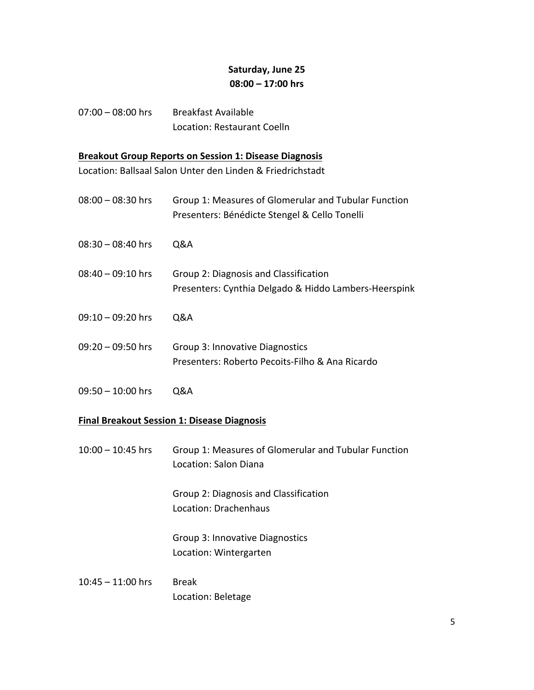# **Saturday, June 25 08:00 – 17:00 hrs**

| 07:00 — 08:00 hrs | Breakfast Available         |
|-------------------|-----------------------------|
|                   | Location: Restaurant Coelln |

## **Breakout Group Reports on Session 1: Disease Diagnosis**

Location: Ballsaal Salon Unter den Linden & Friedrichstadt

- 08:00 08:30 hrs Group 1: Measures of Glomerular and Tubular Function Presenters: Bénédicte Stengel & Cello Tonelli
- 08:30 08:40 hrs Q&A
- 08:40 09:10 hrs Group 2: Diagnosis and Classification Presenters: Cynthia Delgado & Hiddo Lambers-Heerspink
- 09:10 09:20 hrs Q&A
- 09:20 09:50 hrs Group 3: Innovative Diagnostics Presenters: Roberto Pecoits-Filho & Ana Ricardo
- 09:50 10:00 hrs Q&A

## **Final Breakout Session 1: Disease Diagnosis**

10:00 – 10:45 hrsGroup 1: Measures of Glomerular and Tubular Function Location: Salon Diana

> Group 2: Diagnosis and Classification Location: Drachenhaus

Group 3: Innovative Diagnostics Location: Wintergarten

10:45 – 11:00 hrs Break Location: Beletage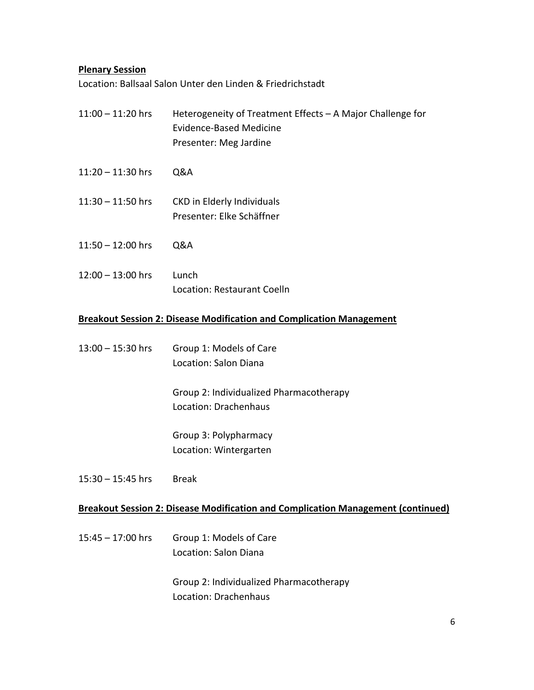#### **Plenary Session**

Location: Ballsaal Salon Unter den Linden & Friedrichstadt

- 11:00 11:20 hrsHeterogeneity of Treatment Effects A Major Challenge for Evidence-Based Medicine Presenter: Meg Jardine
- 11:20 11:30 hrs Q&A
- 11:30 11:50 hrs CKD in Elderly Individuals Presenter: Elke Schäffner
- 11:50 12:00 hrs Q&A
- 12:00 13:00 hrs Lunch Location: Restaurant Coelln

#### **Breakout Session 2: Disease Modification and Complication Management**

| $13:00 - 15:30$ hrs | Group 1: Models of Care |
|---------------------|-------------------------|
|                     | Location: Salon Diana   |

Group 2: Individualized Pharmacotherapy Location: Drachenhaus

Group 3: Polypharmacy Location: Wintergarten

15:30 – 15:45 hrs Break

#### **Breakout Session 2: Disease Modification and Complication Management (continued)**

15:45 – 17:00 hrs Group 1: Models of Care Location: Salon Diana

> Group 2: Individualized Pharmacotherapy Location: Drachenhaus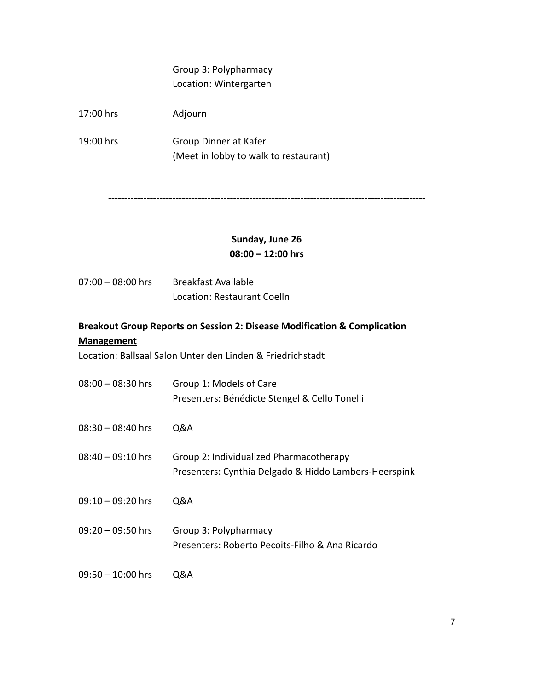Group 3: Polypharmacy Location: Wintergarten

17:00 hrs Adjourn

19:00 hrs Group Dinner at Kafer (Meet in lobby to walk to restaurant)

**---------------------------------------------------------------------------------------------------**

# **Sunday, June 26 08:00 – 12:00 hrs**

07:00 – 08:00 hrs Breakfast Available Location: Restaurant Coelln

# **Breakout Group Reports on Session 2: Disease Modification & Complication Management**

Location: Ballsaal Salon Unter den Linden & Friedrichstadt

| $08:00 - 08:30$ hrs | Group 1: Models of Care<br>Presenters: Bénédicte Stengel & Cello Tonelli                         |
|---------------------|--------------------------------------------------------------------------------------------------|
| $08:30 - 08:40$ hrs | Q&A                                                                                              |
| $08:40 - 09:10$ hrs | Group 2: Individualized Pharmacotherapy<br>Presenters: Cynthia Delgado & Hiddo Lambers-Heerspink |
| $09:10 - 09:20$ hrs | Q&A                                                                                              |
| $09:20 - 09:50$ hrs | Group 3: Polypharmacy<br>Presenters: Roberto Pecoits-Filho & Ana Ricardo                         |
| $09:50 - 10:00$ hrs | Q&A                                                                                              |